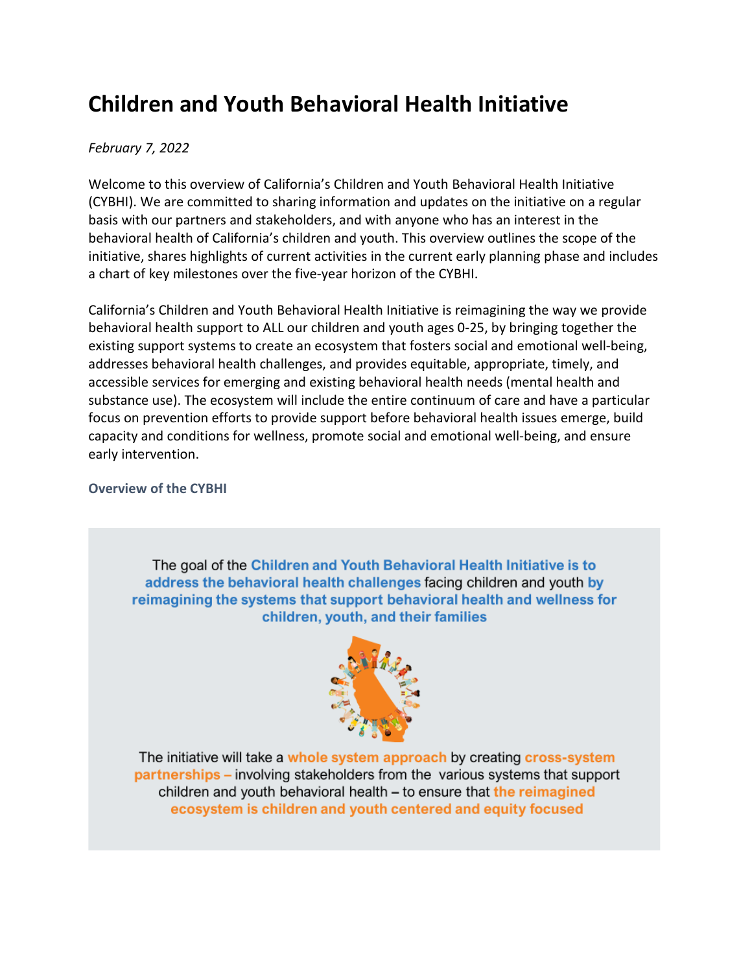# **Children and Youth Behavioral Health Initiative**

### *February 7, 2022*

Welcome to this overview of California's Children and Youth Behavioral Health Initiative (CYBHI). We are committed to sharing information and updates on the initiative on a regular basis with our partners and stakeholders, and with anyone who has an interest in the behavioral health of California's children and youth. This overview outlines the scope of the initiative, shares highlights of current activities in the current early planning phase and includes a chart of key milestones over the five-year horizon of the CYBHI.

California's Children and Youth Behavioral Health Initiative is reimagining the way we provide behavioral health support to ALL our children and youth ages 0-25, by bringing together the existing support systems to create an ecosystem that fosters social and emotional well-being, addresses behavioral health challenges, and provides equitable, appropriate, timely, and accessible services for emerging and existing behavioral health needs (mental health and substance use). The ecosystem will include the entire continuum of care and have a particular focus on prevention efforts to provide support before behavioral health issues emerge, build capacity and conditions for wellness, promote social and emotional well-being, and ensure early intervention.

#### **Overview of the CYBHI**

The goal of the Children and Youth Behavioral Health Initiative is to address the behavioral health challenges facing children and youth by reimagining the systems that support behavioral health and wellness for children, youth, and their families



The initiative will take a whole system approach by creating cross-system partnerships – involving stakeholders from the various systems that support children and youth behavioral health - to ensure that the reimagined ecosystem is children and youth centered and equity focused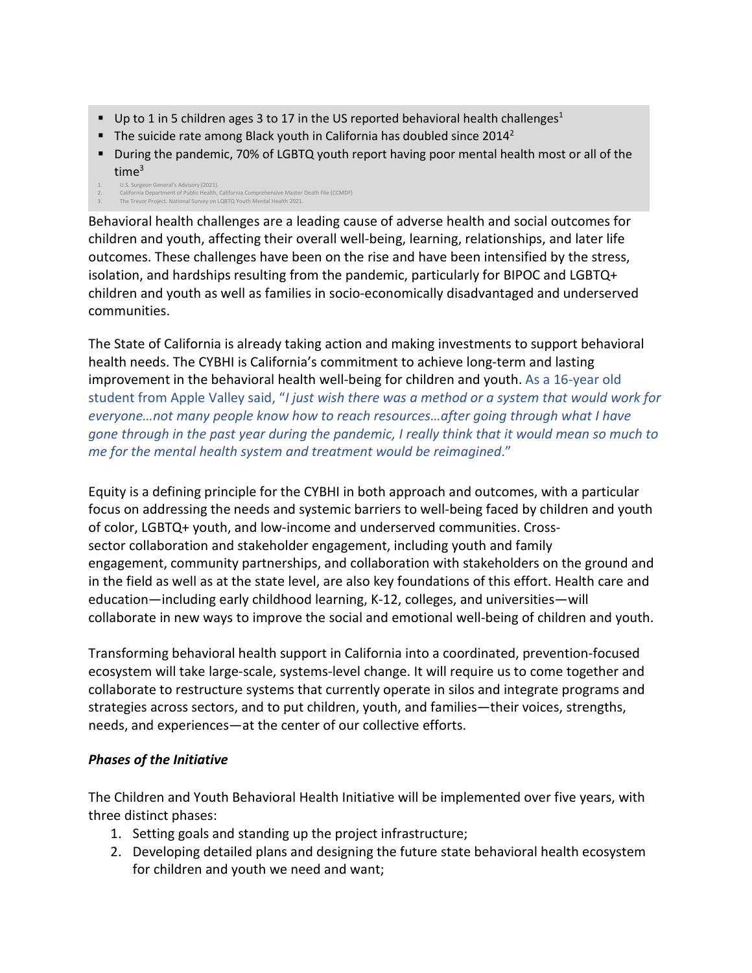- Up to 1 in 5 children ages 3 to 17 in the US reported behavioral health challenges<sup>1</sup>
- The suicide rate among Black youth in California has doubled since  $2014^2$
- **During the pandemic, 70% of LGBTQ youth report having poor mental health most or all of the** time<sup>3</sup>
- U.S. Surgeon General's Advisory (2021)
- 2. California Department of Public Health, California Comprehensive Master Death File (CCMDF) 3. The Trevor Project. National Survey on LQBTQ Youth Mental Health 2021.

Behavioral health challenges are a leading cause of adverse health and social outcomes for children and youth, affecting their overall well-being, learning, relationships, and later life outcomes. These challenges have been on the rise and have been intensified by the stress, isolation, and hardships resulting from the pandemic, particularly for BIPOC and LGBTQ+ children and youth as well as families in socio-economically disadvantaged and underserved communities.

The State of California is already taking action and making investments to support behavioral health needs. The CYBHI is California's commitment to achieve long-term and lasting improvement in the behavioral health well-being for children and youth. As a 16-year old student from Apple Valley said, "*I just wish there was a method or a system that would work for everyone…not many people know how to reach resources…after going through what I have gone through in the past year during the pandemic, I really think that it would mean so much to me for the mental health system and treatment would be reimagined*."

Equity is a defining principle for the CYBHI in both approach and outcomes, with a particular focus on addressing the needs and systemic barriers to well-being faced by children and youth of color, LGBTQ+ youth, and low-income and underserved communities. Crosssector collaboration and stakeholder engagement, including youth and family engagement, community partnerships, and collaboration with stakeholders on the ground and in the field as well as at the state level, are also key foundations of this effort. Health care and education—including early childhood learning, K-12, colleges, and universities—will collaborate in new ways to improve the social and emotional well-being of children and youth.

Transforming behavioral health support in California into a coordinated, prevention-focused ecosystem will take large-scale, systems-level change. It will require us to come together and collaborate to restructure systems that currently operate in silos and integrate programs and strategies across sectors, and to put children, youth, and families—their voices, strengths, needs, and experiences—at the center of our collective efforts.

#### *Phases of the Initiative*

The Children and Youth Behavioral Health Initiative will be implemented over five years, with three distinct phases:

- 1. Setting goals and standing up the project infrastructure;
- 2. Developing detailed plans and designing the future state behavioral health ecosystem for children and youth we need and want;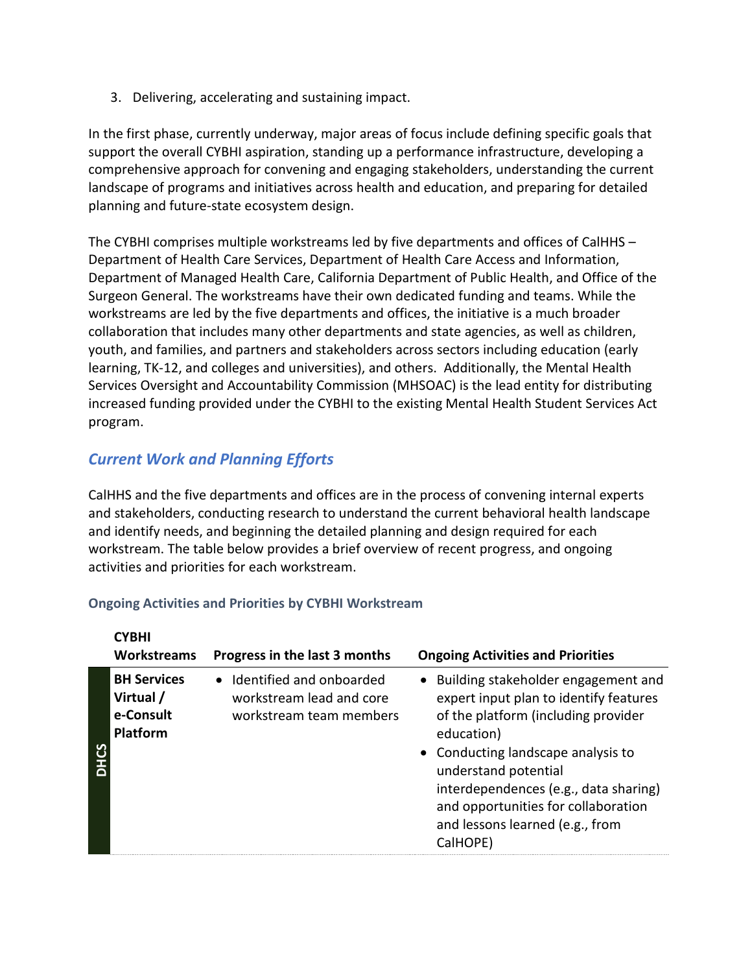3. Delivering, accelerating and sustaining impact.

In the first phase, currently underway, major areas of focus include defining specific goals that support the overall CYBHI aspiration, standing up a performance infrastructure, developing a comprehensive approach for convening and engaging stakeholders, understanding the current landscape of programs and initiatives across health and education, and preparing for detailed planning and future-state ecosystem design.

The CYBHI comprises multiple workstreams led by five departments and offices of CalHHS – Department of Health Care Services, Department of Health Care Access and Information, Department of Managed Health Care, California Department of Public Health, and Office of the Surgeon General. The workstreams have their own dedicated funding and teams. While the workstreams are led by the five departments and offices, the initiative is a much broader collaboration that includes many other departments and state agencies, as well as children, youth, and families, and partners and stakeholders across sectors including education (early learning, TK-12, and colleges and universities), and others. Additionally, the Mental Health Services Oversight and Accountability Commission (MHSOAC) is the lead entity for distributing increased funding provided under the CYBHI to the existing Mental Health Student Services Act program.

## *Current Work and Planning Efforts*

CalHHS and the five departments and offices are in the process of convening internal experts and stakeholders, conducting research to understand the current behavioral health landscape and identify needs, and beginning the detailed planning and design required for each workstream. The table below provides a brief overview of recent progress, and ongoing activities and priorities for each workstream.

|             | <b>CYBHI</b><br><b>Workstreams</b>                       | Progress in the last 3 months                                                     | <b>Ongoing Activities and Priorities</b>                                                                                                                                                                                                                                                                                        |
|-------------|----------------------------------------------------------|-----------------------------------------------------------------------------------|---------------------------------------------------------------------------------------------------------------------------------------------------------------------------------------------------------------------------------------------------------------------------------------------------------------------------------|
| <b>DHCS</b> | <b>BH Services</b><br>Virtual /<br>e-Consult<br>Platform | • Identified and onboarded<br>workstream lead and core<br>workstream team members | Building stakeholder engagement and<br>expert input plan to identify features<br>of the platform (including provider<br>education)<br>• Conducting landscape analysis to<br>understand potential<br>interdependences (e.g., data sharing)<br>and opportunities for collaboration<br>and lessons learned (e.g., from<br>CalHOPE) |

#### **Ongoing Activities and Priorities by CYBHI Workstream**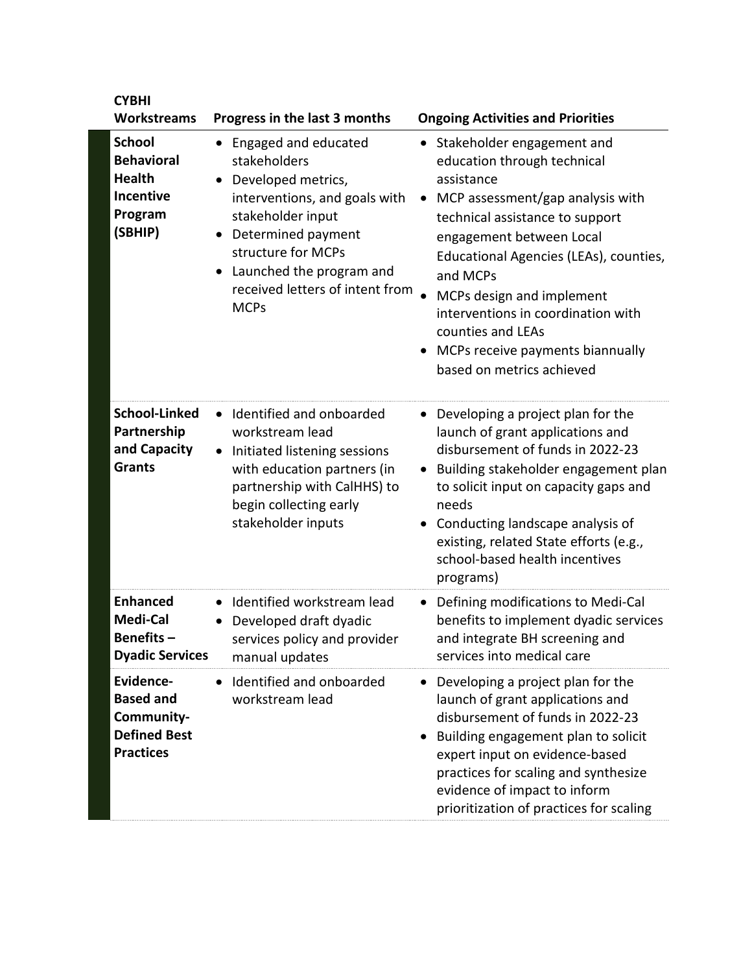| <b>CYBHI</b><br>Workstreams                                                                   | Progress in the last 3 months                                                                                                                                                                                                              | <b>Ongoing Activities and Priorities</b>                                                                                                                                                                                                                                                                                                                                                                 |
|-----------------------------------------------------------------------------------------------|--------------------------------------------------------------------------------------------------------------------------------------------------------------------------------------------------------------------------------------------|----------------------------------------------------------------------------------------------------------------------------------------------------------------------------------------------------------------------------------------------------------------------------------------------------------------------------------------------------------------------------------------------------------|
| <b>School</b><br><b>Behavioral</b><br><b>Health</b><br><b>Incentive</b><br>Program<br>(SBHIP) | Engaged and educated<br>stakeholders<br>Developed metrics,<br>interventions, and goals with<br>stakeholder input<br>Determined payment<br>structure for MCPs<br>Launched the program and<br>received letters of intent from<br><b>MCPs</b> | • Stakeholder engagement and<br>education through technical<br>assistance<br>MCP assessment/gap analysis with<br>$\bullet$<br>technical assistance to support<br>engagement between Local<br>Educational Agencies (LEAs), counties,<br>and MCPs<br>MCPs design and implement<br>interventions in coordination with<br>counties and LEAs<br>MCPs receive payments biannually<br>based on metrics achieved |
| <b>School-Linked</b><br>Partnership<br>and Capacity<br><b>Grants</b>                          | Identified and onboarded<br>workstream lead<br>Initiated listening sessions<br>with education partners (in<br>partnership with CalHHS) to<br>begin collecting early<br>stakeholder inputs                                                  | Developing a project plan for the<br>launch of grant applications and<br>disbursement of funds in 2022-23<br>Building stakeholder engagement plan<br>to solicit input on capacity gaps and<br>needs<br>Conducting landscape analysis of<br>existing, related State efforts (e.g.,<br>school-based health incentives<br>programs)                                                                         |
| <b>Enhanced</b><br><b>Medi-Cal</b><br>Benefits-<br><b>Dyadic Services</b>                     | Identified workstream lead<br>Developed draft dyadic<br>services policy and provider<br>manual updates                                                                                                                                     | Defining modifications to Medi-Cal<br>$\bullet$<br>benefits to implement dyadic services<br>and integrate BH screening and<br>services into medical care                                                                                                                                                                                                                                                 |
| Evidence-<br><b>Based and</b><br>Community-<br><b>Defined Best</b><br><b>Practices</b>        | Identified and onboarded<br>workstream lead                                                                                                                                                                                                | Developing a project plan for the<br>launch of grant applications and<br>disbursement of funds in 2022-23<br>Building engagement plan to solicit<br>expert input on evidence-based<br>practices for scaling and synthesize<br>evidence of impact to inform<br>prioritization of practices for scaling                                                                                                    |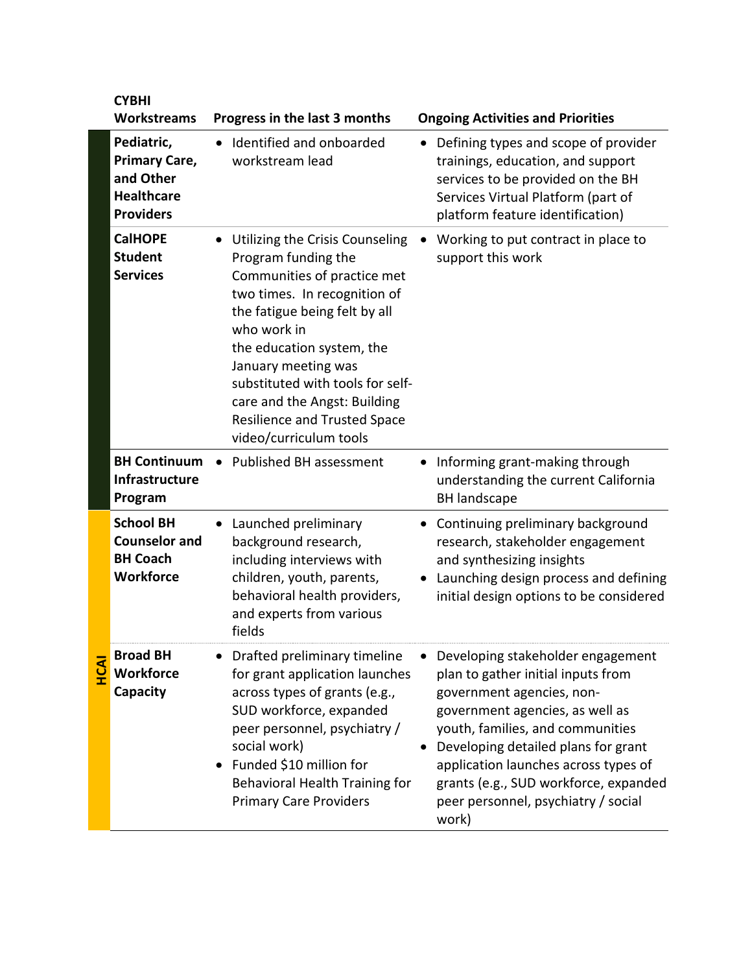| <b>CYBHI</b><br>Workstreams                                                              | Progress in the last 3 months                                                                                                                                                                                                                                                                                                                                  | <b>Ongoing Activities and Priorities</b>                                                                                                                                                                                                                                                                                                            |
|------------------------------------------------------------------------------------------|----------------------------------------------------------------------------------------------------------------------------------------------------------------------------------------------------------------------------------------------------------------------------------------------------------------------------------------------------------------|-----------------------------------------------------------------------------------------------------------------------------------------------------------------------------------------------------------------------------------------------------------------------------------------------------------------------------------------------------|
| Pediatric,<br><b>Primary Care,</b><br>and Other<br><b>Healthcare</b><br><b>Providers</b> | Identified and onboarded<br>workstream lead                                                                                                                                                                                                                                                                                                                    | Defining types and scope of provider<br>$\bullet$<br>trainings, education, and support<br>services to be provided on the BH<br>Services Virtual Platform (part of<br>platform feature identification)                                                                                                                                               |
| <b>CalHOPE</b><br><b>Student</b><br><b>Services</b>                                      | Utilizing the Crisis Counseling<br>Program funding the<br>Communities of practice met<br>two times. In recognition of<br>the fatigue being felt by all<br>who work in<br>the education system, the<br>January meeting was<br>substituted with tools for self-<br>care and the Angst: Building<br><b>Resilience and Trusted Space</b><br>video/curriculum tools | Working to put contract in place to<br>$\bullet$<br>support this work                                                                                                                                                                                                                                                                               |
| <b>BH Continuum</b><br><b>Infrastructure</b><br>Program                                  | • Published BH assessment                                                                                                                                                                                                                                                                                                                                      | Informing grant-making through<br>٠<br>understanding the current California<br><b>BH</b> landscape                                                                                                                                                                                                                                                  |
| <b>School BH</b><br><b>Counselor and</b><br><b>BH Coach</b><br><b>Workforce</b>          | Launched preliminary<br>background research,<br>including interviews with<br>children, youth, parents,<br>behavioral health providers,<br>and experts from various<br>fields                                                                                                                                                                                   | Continuing preliminary background<br>research, stakeholder engagement<br>and synthesizing insights<br>Launching design process and defining<br>٠<br>initial design options to be considered                                                                                                                                                         |
| <b>Broad BH</b><br><b>Workforce</b><br>Capacity                                          | Drafted preliminary timeline<br>for grant application launches<br>across types of grants (e.g.,<br>SUD workforce, expanded<br>peer personnel, psychiatry /<br>social work)<br>Funded \$10 million for<br>Behavioral Health Training for<br><b>Primary Care Providers</b>                                                                                       | Developing stakeholder engagement<br>plan to gather initial inputs from<br>government agencies, non-<br>government agencies, as well as<br>youth, families, and communities<br>Developing detailed plans for grant<br>application launches across types of<br>grants (e.g., SUD workforce, expanded<br>peer personnel, psychiatry / social<br>work) |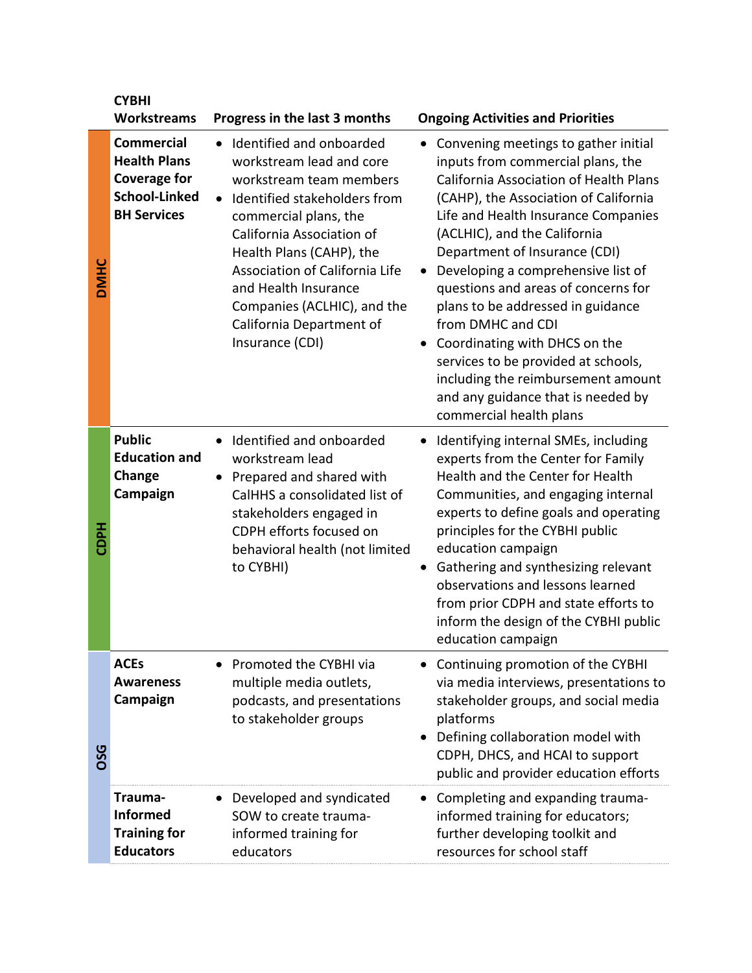|             | <b>CYBHI</b><br>Workstreams                                                                                   | Progress in the last 3 months                                                                                                                                                                                                                                                                                                                                 | <b>Ongoing Activities and Priorities</b>                                                                                                                                                                                                                                                                                                                                                                                                                                                                                                                                                                            |
|-------------|---------------------------------------------------------------------------------------------------------------|---------------------------------------------------------------------------------------------------------------------------------------------------------------------------------------------------------------------------------------------------------------------------------------------------------------------------------------------------------------|---------------------------------------------------------------------------------------------------------------------------------------------------------------------------------------------------------------------------------------------------------------------------------------------------------------------------------------------------------------------------------------------------------------------------------------------------------------------------------------------------------------------------------------------------------------------------------------------------------------------|
| DMHC        | <b>Commercial</b><br><b>Health Plans</b><br><b>Coverage for</b><br><b>School-Linked</b><br><b>BH Services</b> | Identified and onboarded<br>$\bullet$<br>workstream lead and core<br>workstream team members<br>Identified stakeholders from<br>commercial plans, the<br>California Association of<br>Health Plans (CAHP), the<br><b>Association of California Life</b><br>and Health Insurance<br>Companies (ACLHIC), and the<br>California Department of<br>Insurance (CDI) | Convening meetings to gather initial<br>٠<br>inputs from commercial plans, the<br><b>California Association of Health Plans</b><br>(CAHP), the Association of California<br>Life and Health Insurance Companies<br>(ACLHIC), and the California<br>Department of Insurance (CDI)<br>Developing a comprehensive list of<br>$\bullet$<br>questions and areas of concerns for<br>plans to be addressed in guidance<br>from DMHC and CDI<br>Coordinating with DHCS on the<br>services to be provided at schools,<br>including the reimbursement amount<br>and any guidance that is needed by<br>commercial health plans |
| <b>CDPH</b> | <b>Public</b><br><b>Education and</b><br>Change<br>Campaign                                                   | Identified and onboarded<br>workstream lead<br>Prepared and shared with<br>CalHHS a consolidated list of<br>stakeholders engaged in<br>CDPH efforts focused on<br>behavioral health (not limited<br>to CYBHI)                                                                                                                                                 | Identifying internal SMEs, including<br>$\bullet$<br>experts from the Center for Family<br>Health and the Center for Health<br>Communities, and engaging internal<br>experts to define goals and operating<br>principles for the CYBHI public<br>education campaign<br>Gathering and synthesizing relevant<br>٠<br>observations and lessons learned<br>from prior CDPH and state efforts to<br>inform the design of the CYBHI public<br>education campaign                                                                                                                                                          |
| <b>OSG</b>  | <b>ACEs</b><br><b>Awareness</b><br>Campaign                                                                   | Promoted the CYBHI via<br>multiple media outlets,<br>podcasts, and presentations<br>to stakeholder groups                                                                                                                                                                                                                                                     | Continuing promotion of the CYBHI<br>via media interviews, presentations to<br>stakeholder groups, and social media<br>platforms<br>Defining collaboration model with<br>CDPH, DHCS, and HCAI to support<br>public and provider education efforts                                                                                                                                                                                                                                                                                                                                                                   |
|             | Trauma-<br><b>Informed</b><br><b>Training for</b><br><b>Educators</b>                                         | Developed and syndicated<br>SOW to create trauma-<br>informed training for<br>educators                                                                                                                                                                                                                                                                       | Completing and expanding trauma-<br>$\bullet$<br>informed training for educators;<br>further developing toolkit and<br>resources for school staff                                                                                                                                                                                                                                                                                                                                                                                                                                                                   |
|             |                                                                                                               |                                                                                                                                                                                                                                                                                                                                                               |                                                                                                                                                                                                                                                                                                                                                                                                                                                                                                                                                                                                                     |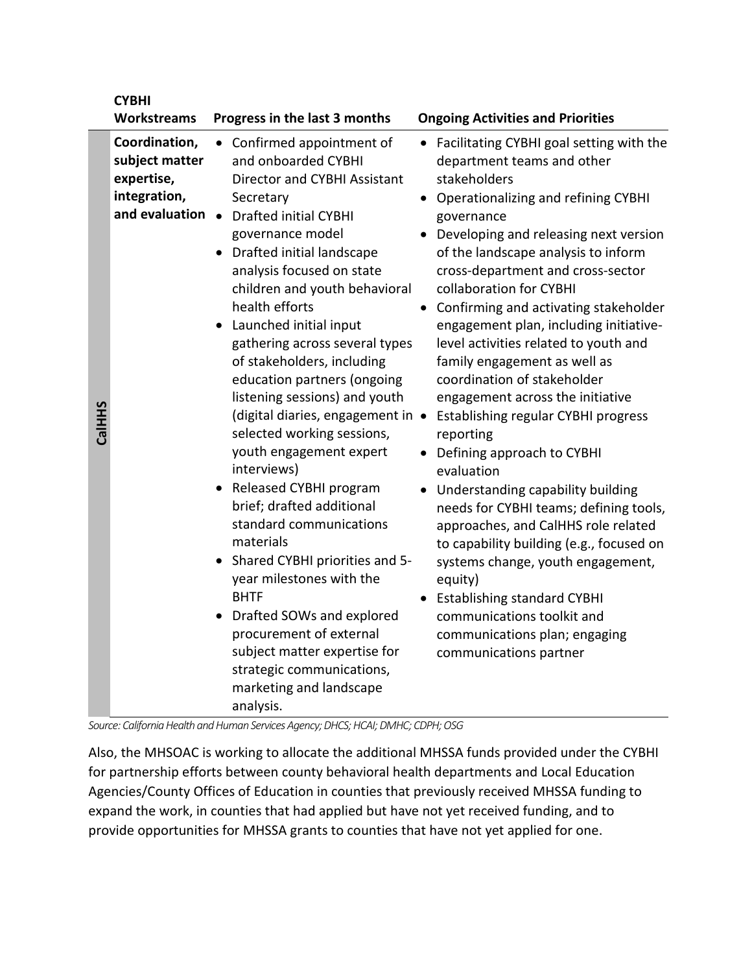|                | <b>CYBHI</b>                                                                    |                                                                                                                                                                                                                                                                                                                                                                                                                                                                                                                                                                                                                                                                                                                                                                                                                                                                                                         |                                     |                                                                                                                                                                                                                                                                                                                                                                                                                                                                                                                                                                                                                                                                                                                                                                                                                                                                                                                                                                                 |
|----------------|---------------------------------------------------------------------------------|---------------------------------------------------------------------------------------------------------------------------------------------------------------------------------------------------------------------------------------------------------------------------------------------------------------------------------------------------------------------------------------------------------------------------------------------------------------------------------------------------------------------------------------------------------------------------------------------------------------------------------------------------------------------------------------------------------------------------------------------------------------------------------------------------------------------------------------------------------------------------------------------------------|-------------------------------------|---------------------------------------------------------------------------------------------------------------------------------------------------------------------------------------------------------------------------------------------------------------------------------------------------------------------------------------------------------------------------------------------------------------------------------------------------------------------------------------------------------------------------------------------------------------------------------------------------------------------------------------------------------------------------------------------------------------------------------------------------------------------------------------------------------------------------------------------------------------------------------------------------------------------------------------------------------------------------------|
|                | Workstreams                                                                     | Progress in the last 3 months                                                                                                                                                                                                                                                                                                                                                                                                                                                                                                                                                                                                                                                                                                                                                                                                                                                                           |                                     | <b>Ongoing Activities and Priorities</b>                                                                                                                                                                                                                                                                                                                                                                                                                                                                                                                                                                                                                                                                                                                                                                                                                                                                                                                                        |
| <b>CalHIKS</b> | Coordination,<br>subject matter<br>expertise,<br>integration,<br>and evaluation | Confirmed appointment of<br>$\bullet$<br>and onboarded CYBHI<br>Director and CYBHI Assistant<br>Secretary<br><b>Drafted initial CYBHI</b><br>$\bullet$<br>governance model<br>Drafted initial landscape<br>analysis focused on state<br>children and youth behavioral<br>health efforts<br>Launched initial input<br>gathering across several types<br>of stakeholders, including<br>education partners (ongoing<br>listening sessions) and youth<br>(digital diaries, engagement in •<br>selected working sessions,<br>youth engagement expert<br>interviews)<br>Released CYBHI program<br>brief; drafted additional<br>standard communications<br>materials<br>Shared CYBHI priorities and 5-<br>year milestones with the<br><b>BHTF</b><br>Drafted SOWs and explored<br>procurement of external<br>subject matter expertise for<br>strategic communications,<br>marketing and landscape<br>analysis. | $\bullet$<br>$\bullet$<br>$\bullet$ | • Facilitating CYBHI goal setting with the<br>department teams and other<br>stakeholders<br>• Operationalizing and refining CYBHI<br>governance<br>Developing and releasing next version<br>of the landscape analysis to inform<br>cross-department and cross-sector<br>collaboration for CYBHI<br>Confirming and activating stakeholder<br>engagement plan, including initiative-<br>level activities related to youth and<br>family engagement as well as<br>coordination of stakeholder<br>engagement across the initiative<br>Establishing regular CYBHI progress<br>reporting<br>Defining approach to CYBHI<br>evaluation<br>Understanding capability building<br>needs for CYBHI teams; defining tools,<br>approaches, and CalHHS role related<br>to capability building (e.g., focused on<br>systems change, youth engagement,<br>equity)<br><b>Establishing standard CYBHI</b><br>communications toolkit and<br>communications plan; engaging<br>communications partner |

*Source: California Health and Human Services Agency; DHCS; HCAI; DMHC; CDPH; OSG*

Also, the MHSOAC is working to allocate the additional MHSSA funds provided under the CYBHI for partnership efforts between county behavioral health departments and Local Education Agencies/County Offices of Education in counties that previously received MHSSA funding to expand the work, in counties that had applied but have not yet received funding, and to provide opportunities for MHSSA grants to counties that have not yet applied for one.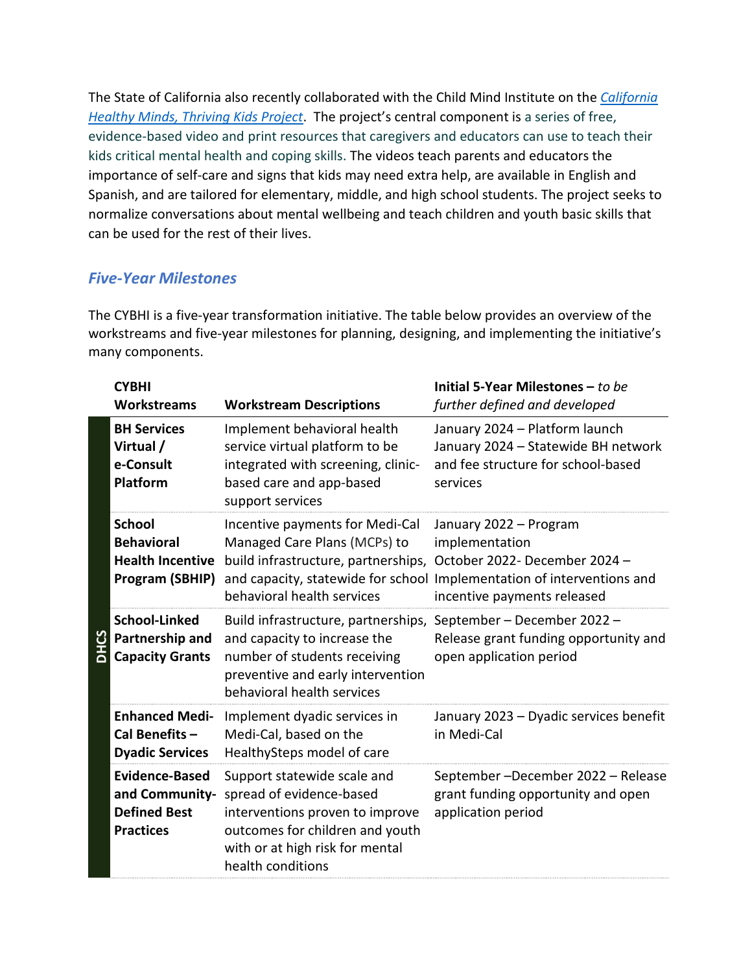The State of California also recently collaborated with the Child Mind Institute on the *[California](https://childmind.org/healthyminds/)  [Healthy Minds, Thriving Kids Project](https://childmind.org/healthyminds/)*. The project's central component is a series of free, evidence-based video and print resources that caregivers and educators can use to teach their kids critical mental health and coping skills. The videos teach parents and educators the importance of self-care and signs that kids may need extra help, are available in English and Spanish, and are tailored for elementary, middle, and high school students. The project seeks to normalize conversations about mental wellbeing and teach children and youth basic skills that can be used for the rest of their lives.

## *Five-Year Milestones*

The CYBHI is a five-year transformation initiative. The table below provides an overview of the workstreams and five-year milestones for planning, designing, and implementing the initiative's many components.

|               | <b>CYBHI</b><br><b>Workstreams</b>                                                 | <b>Workstream Descriptions</b>                                                                                                                                                        | Initial 5-Year Milestones - to be<br>further defined and developed                                                                                                                 |
|---------------|------------------------------------------------------------------------------------|---------------------------------------------------------------------------------------------------------------------------------------------------------------------------------------|------------------------------------------------------------------------------------------------------------------------------------------------------------------------------------|
|               | <b>BH Services</b><br>Virtual /<br>e-Consult<br>Platform                           | Implement behavioral health<br>service virtual platform to be<br>integrated with screening, clinic-<br>based care and app-based<br>support services                                   | January 2024 - Platform launch<br>January 2024 - Statewide BH network<br>and fee structure for school-based<br>services                                                            |
|               | <b>School</b><br><b>Behavioral</b><br><b>Health Incentive</b><br>Program (SBHIP)   | Incentive payments for Medi-Cal<br>Managed Care Plans (MCPs) to<br>build infrastructure, partnerships,<br>behavioral health services                                                  | January 2022 - Program<br>implementation<br>October 2022- December 2024 -<br>and capacity, statewide for school Implementation of interventions and<br>incentive payments released |
| $\frac{1}{2}$ | <b>School-Linked</b><br>Partnership and<br><b>Capacity Grants</b>                  | Build infrastructure, partnerships,<br>and capacity to increase the<br>number of students receiving<br>preventive and early intervention<br>behavioral health services                | September – December 2022 –<br>Release grant funding opportunity and<br>open application period                                                                                    |
|               | <b>Enhanced Medi-</b><br>Cal Benefits-<br><b>Dyadic Services</b>                   | Implement dyadic services in<br>Medi-Cal, based on the<br>HealthySteps model of care                                                                                                  | January 2023 - Dyadic services benefit<br>in Medi-Cal                                                                                                                              |
|               | <b>Evidence-Based</b><br>and Community-<br><b>Defined Best</b><br><b>Practices</b> | Support statewide scale and<br>spread of evidence-based<br>interventions proven to improve<br>outcomes for children and youth<br>with or at high risk for mental<br>health conditions | September-December 2022 - Release<br>grant funding opportunity and open<br>application period                                                                                      |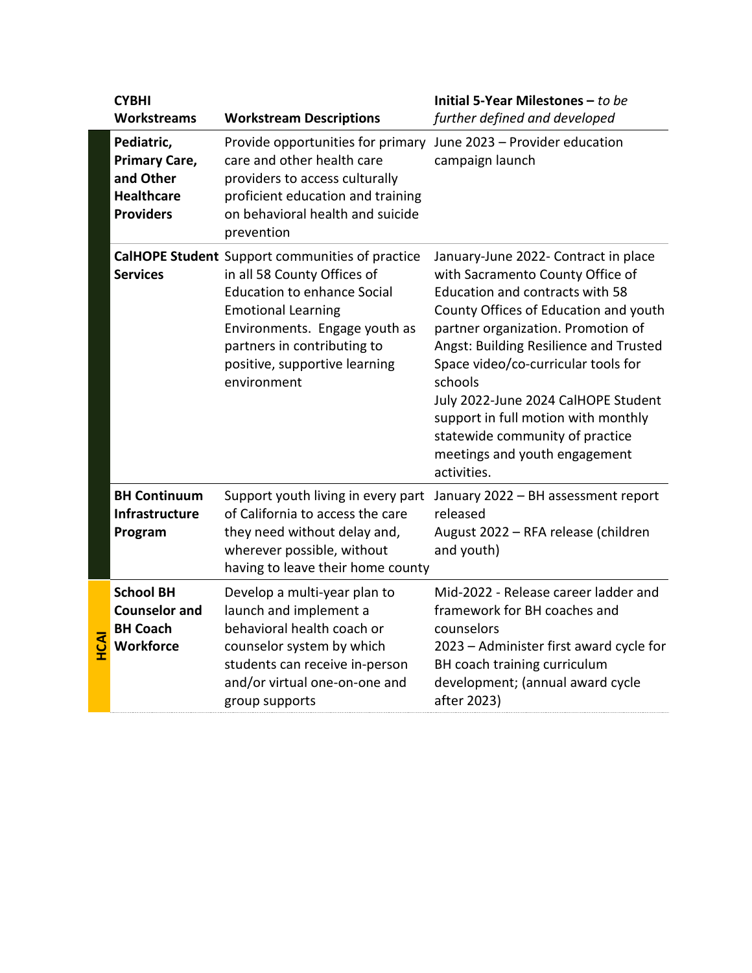|              | <b>CYBHI</b><br><b>Workstreams</b>                                                       | <b>Workstream Descriptions</b>                                                                                                                                                                                                                                           | Initial 5-Year Milestones $-$ to be<br>further defined and developed                                                                                                                                                                                                                                                                                                                                                                                           |
|--------------|------------------------------------------------------------------------------------------|--------------------------------------------------------------------------------------------------------------------------------------------------------------------------------------------------------------------------------------------------------------------------|----------------------------------------------------------------------------------------------------------------------------------------------------------------------------------------------------------------------------------------------------------------------------------------------------------------------------------------------------------------------------------------------------------------------------------------------------------------|
|              | Pediatric,<br><b>Primary Care,</b><br>and Other<br><b>Healthcare</b><br><b>Providers</b> | Provide opportunities for primary<br>care and other health care<br>providers to access culturally<br>proficient education and training<br>on behavioral health and suicide<br>prevention                                                                                 | June 2023 - Provider education<br>campaign launch                                                                                                                                                                                                                                                                                                                                                                                                              |
|              | <b>Services</b>                                                                          | <b>CalHOPE Student</b> Support communities of practice<br>in all 58 County Offices of<br><b>Education to enhance Social</b><br><b>Emotional Learning</b><br>Environments. Engage youth as<br>partners in contributing to<br>positive, supportive learning<br>environment | January-June 2022- Contract in place<br>with Sacramento County Office of<br><b>Education and contracts with 58</b><br>County Offices of Education and youth<br>partner organization. Promotion of<br>Angst: Building Resilience and Trusted<br>Space video/co-curricular tools for<br>schools<br>July 2022-June 2024 CalHOPE Student<br>support in full motion with monthly<br>statewide community of practice<br>meetings and youth engagement<br>activities. |
|              | <b>BH Continuum</b><br>Infrastructure<br>Program                                         | Support youth living in every part<br>of California to access the care<br>they need without delay and,<br>wherever possible, without<br>having to leave their home county                                                                                                | January 2022 - BH assessment report<br>released<br>August 2022 - RFA release (children<br>and youth)                                                                                                                                                                                                                                                                                                                                                           |
| <b>SHCAI</b> | <b>School BH</b><br><b>Counselor and</b><br><b>BH Coach</b><br><b>Workforce</b>          | Develop a multi-year plan to<br>launch and implement a<br>behavioral health coach or<br>counselor system by which<br>students can receive in-person<br>and/or virtual one-on-one and<br>group supports                                                                   | Mid-2022 - Release career ladder and<br>framework for BH coaches and<br>counselors<br>2023 - Administer first award cycle for<br>BH coach training curriculum<br>development; (annual award cycle<br>after 2023)                                                                                                                                                                                                                                               |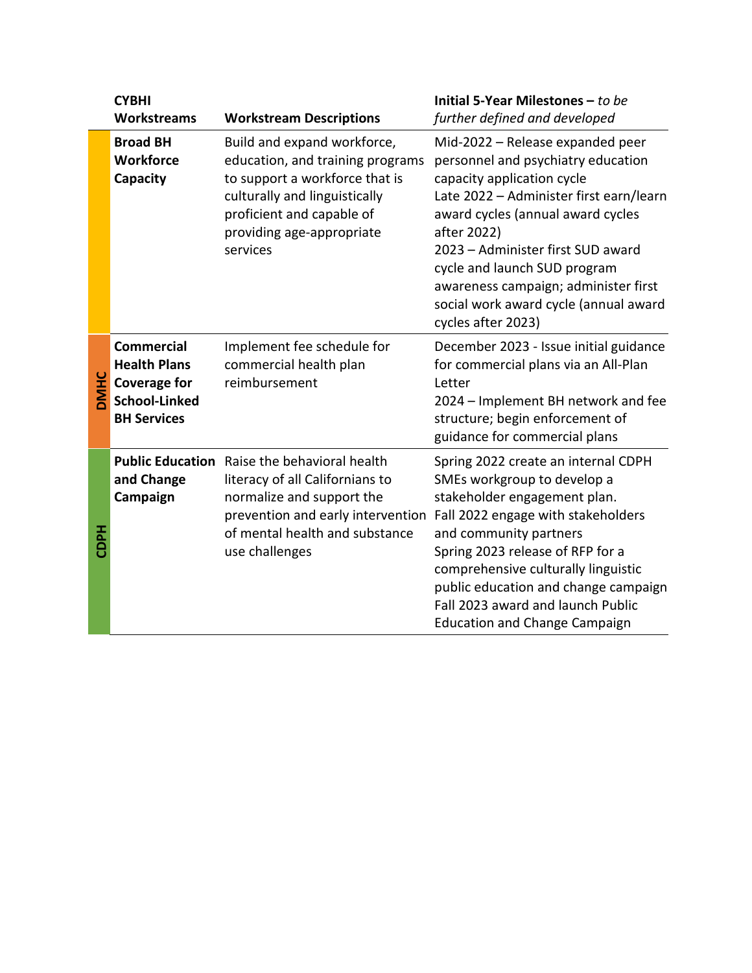|             | <b>CYBHI</b><br>Workstreams                                                                                   | <b>Workstream Descriptions</b>                                                                                                                                                                           | Initial 5-Year Milestones - to be<br>further defined and developed                                                                                                                                                                                                                                                                                                              |
|-------------|---------------------------------------------------------------------------------------------------------------|----------------------------------------------------------------------------------------------------------------------------------------------------------------------------------------------------------|---------------------------------------------------------------------------------------------------------------------------------------------------------------------------------------------------------------------------------------------------------------------------------------------------------------------------------------------------------------------------------|
|             | <b>Broad BH</b><br><b>Workforce</b><br>Capacity                                                               | Build and expand workforce,<br>education, and training programs<br>to support a workforce that is<br>culturally and linguistically<br>proficient and capable of<br>providing age-appropriate<br>services | Mid-2022 - Release expanded peer<br>personnel and psychiatry education<br>capacity application cycle<br>Late 2022 - Administer first earn/learn<br>award cycles (annual award cycles<br>after 2022)<br>2023 - Administer first SUD award<br>cycle and launch SUD program<br>awareness campaign; administer first<br>social work award cycle (annual award<br>cycles after 2023) |
| <b>DMHC</b> | <b>Commercial</b><br><b>Health Plans</b><br><b>Coverage for</b><br><b>School-Linked</b><br><b>BH Services</b> | Implement fee schedule for<br>commercial health plan<br>reimbursement                                                                                                                                    | December 2023 - Issue initial guidance<br>for commercial plans via an All-Plan<br>Letter<br>2024 - Implement BH network and fee<br>structure; begin enforcement of<br>guidance for commercial plans                                                                                                                                                                             |
| CDPH        | <b>Public Education</b><br>and Change<br>Campaign                                                             | Raise the behavioral health<br>literacy of all Californians to<br>normalize and support the<br>prevention and early intervention<br>of mental health and substance<br>use challenges                     | Spring 2022 create an internal CDPH<br>SMEs workgroup to develop a<br>stakeholder engagement plan.<br>Fall 2022 engage with stakeholders<br>and community partners<br>Spring 2023 release of RFP for a<br>comprehensive culturally linguistic<br>public education and change campaign<br>Fall 2023 award and launch Public<br><b>Education and Change Campaign</b>              |